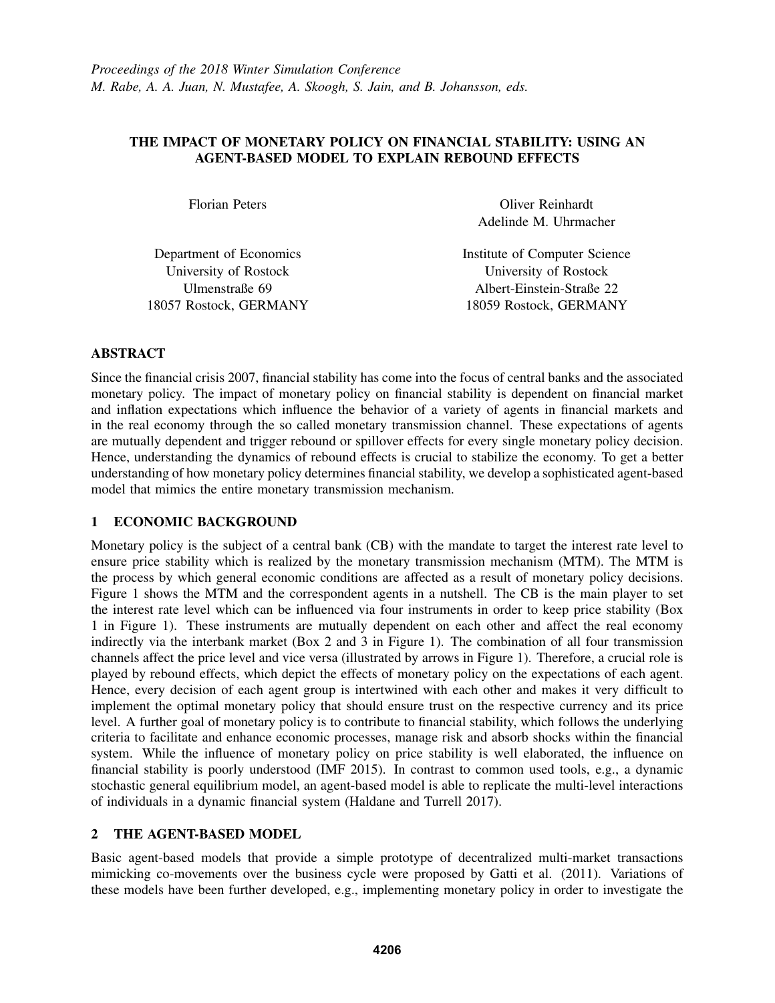### THE IMPACT OF MONETARY POLICY ON FINANCIAL STABILITY: USING AN AGENT-BASED MODEL TO EXPLAIN REBOUND EFFECTS

| <b>Florian Peters</b> |      |
|-----------------------|------|
|                       |      |
| partment of Economics | Insi |
| Iniversity of Rostock |      |

Dep University of Rostock Ulmenstraße 69 18057 Rostock, GERMANY

Oliver Reinhardt Adelinde M. Uhrmacher

litute of Computer Science University of Rostock Albert-Einstein-Straße 22 18059 Rostock, GERMANY

## ABSTRACT

Since the financial crisis 2007, financial stability has come into the focus of central banks and the associated monetary policy. The impact of monetary policy on financial stability is dependent on financial market and inflation expectations which influence the behavior of a variety of agents in financial markets and in the real economy through the so called monetary transmission channel. These expectations of agents are mutually dependent and trigger rebound or spillover effects for every single monetary policy decision. Hence, understanding the dynamics of rebound effects is crucial to stabilize the economy. To get a better understanding of how monetary policy determines financial stability, we develop a sophisticated agent-based model that mimics the entire monetary transmission mechanism.

# 1 ECONOMIC BACKGROUND

Monetary policy is the subject of a central bank (CB) with the mandate to target the interest rate level to ensure price stability which is realized by the monetary transmission mechanism (MTM). The MTM is the process by which general economic conditions are affected as a result of monetary policy decisions. Figure 1 shows the MTM and the correspondent agents in a nutshell. The CB is the main player to set the interest rate level which can be influenced via four instruments in order to keep price stability (Box 1 in Figure 1). These instruments are mutually dependent on each other and affect the real economy indirectly via the interbank market (Box 2 and 3 in Figure 1). The combination of all four transmission channels affect the price level and vice versa (illustrated by arrows in Figure 1). Therefore, a crucial role is played by rebound effects, which depict the effects of monetary policy on the expectations of each agent. Hence, every decision of each agent group is intertwined with each other and makes it very difficult to implement the optimal monetary policy that should ensure trust on the respective currency and its price level. A further goal of monetary policy is to contribute to financial stability, which follows the underlying criteria to facilitate and enhance economic processes, manage risk and absorb shocks within the financial system. While the influence of monetary policy on price stability is well elaborated, the influence on financial stability is poorly understood (IMF 2015). In contrast to common used tools, e.g., a dynamic stochastic general equilibrium model, an agent-based model is able to replicate the multi-level interactions of individuals in a dynamic financial system (Haldane and Turrell 2017).

## 2 THE AGENT-BASED MODEL

Basic agent-based models that provide a simple prototype of decentralized multi-market transactions mimicking co-movements over the business cycle were proposed by Gatti et al. (2011). Variations of these models have been further developed, e.g., implementing monetary policy in order to investigate the